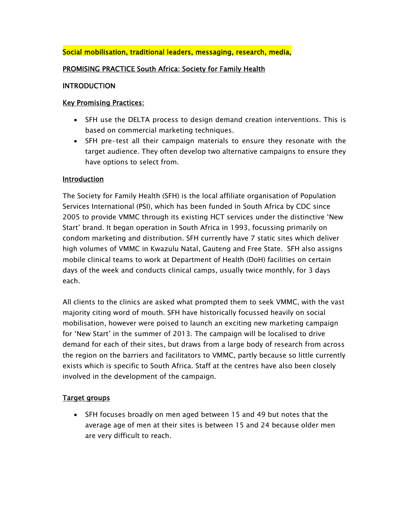## Social mobilisation, traditional leaders, messaging, research, media,

#### PROMISING PRACTICE South Africa: Society for Family Health

#### INTRODUCTION

#### Key Promising Practices:

- SFH use the DELTA process to design demand creation interventions. This is based on commercial marketing techniques.
- SFH pre-test all their campaign materials to ensure they resonate with the target audience. They often develop two alternative campaigns to ensure they have options to select from.

#### Introduction

The Society for Family Health (SFH) is the local affiliate organisation of Population Services International (PSI), which has been funded in South Africa by CDC since 2005 to provide VMMC through its existing HCT services under the distinctive 'New Start' brand. It began operation in South Africa in 1993, focussing primarily on condom marketing and distribution. SFH currently have 7 static sites which deliver high volumes of VMMC in Kwazulu Natal, Gauteng and Free State. SFH also assigns mobile clinical teams to work at Department of Health (DoH) facilities on certain days of the week and conducts clinical camps, usually twice monthly, for 3 days each.

All clients to the clinics are asked what prompted them to seek VMMC, with the vast majority citing word of mouth. SFH have historically focussed heavily on social mobilisation, however were poised to launch an exciting new marketing campaign for 'New Start' in the summer of 2013. The campaign will be localised to drive demand for each of their sites, but draws from a large body of research from across the region on the barriers and facilitators to VMMC, partly because so little currently exists which is specific to South Africa. Staff at the centres have also been closely involved in the development of the campaign.

#### Target groups

 SFH focuses broadly on men aged between 15 and 49 but notes that the average age of men at their sites is between 15 and 24 because older men are very difficult to reach.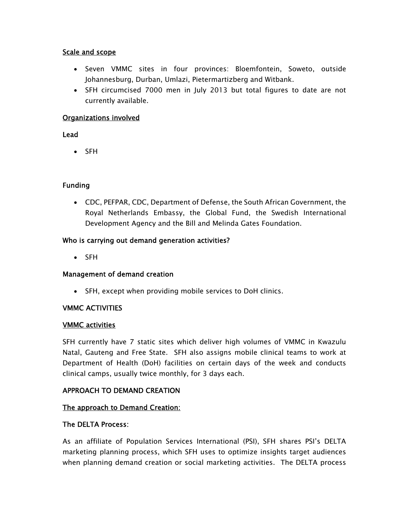#### Scale and scope

- Seven VMMC sites in four provinces: Bloemfontein, Soweto, outside Johannesburg, Durban, Umlazi, Pietermartizberg and Witbank.
- SFH circumcised 7000 men in July 2013 but total figures to date are not currently available.

## Organizations involved

#### Lead

• SFH

## Funding

 CDC, PEFPAR, CDC, Department of Defense, the South African Government, the Royal Netherlands Embassy, the Global Fund, the Swedish International Development Agency and the Bill and Melinda Gates Foundation.

## Who is carrying out demand generation activities?

• SFH

## Management of demand creation

SFH, except when providing mobile services to DoH clinics.

## VMMC ACTIVITIES

## VMMC activities

SFH currently have 7 static sites which deliver high volumes of VMMC in Kwazulu Natal, Gauteng and Free State. SFH also assigns mobile clinical teams to work at Department of Health (DoH) facilities on certain days of the week and conducts clinical camps, usually twice monthly, for 3 days each.

## APPROACH TO DEMAND CREATION

## The approach to Demand Creation:

## The DELTA Process:

As an affiliate of Population Services International (PSI), SFH shares PSI's DELTA marketing planning process, which SFH uses to optimize insights target audiences when planning demand creation or social marketing activities. The DELTA process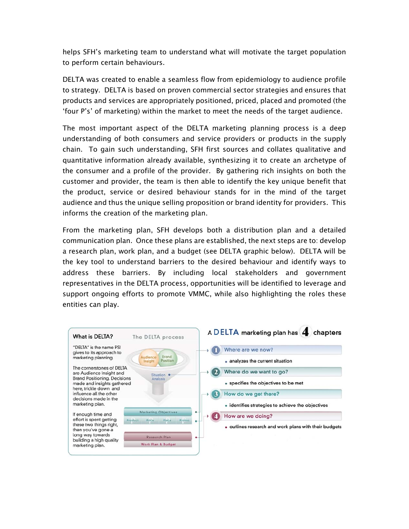helps SFH's marketing team to understand what will motivate the target population to perform certain behaviours.

DELTA was created to enable a seamless flow from epidemiology to audience profile to strategy. DELTA is based on proven commercial sector strategies and ensures that products and services are appropriately positioned, priced, placed and promoted (the 'four P's' of marketing) within the market to meet the needs of the target audience.

The most important aspect of the DELTA marketing planning process is a deep understanding of both consumers and service providers or products in the supply chain. To gain such understanding, SFH first sources and collates qualitative and quantitative information already available, synthesizing it to create an archetype of the consumer and a profile of the provider. By gathering rich insights on both the customer and provider, the team is then able to identify the key unique benefit that the product, service or desired behaviour stands for in the mind of the target audience and thus the unique selling proposition or brand identity for providers. This informs the creation of the marketing plan.

From the marketing plan, SFH develops both a distribution plan and a detailed communication plan. Once these plans are established, the next steps are to: develop a research plan, work plan, and a budget (see DELTA graphic below). DELTA will be the key tool to understand barriers to the desired behaviour and identify ways to address these barriers. By including local stakeholders and government representatives in the DELTA process, opportunities will be identified to leverage and support ongoing efforts to promote VMMC, while also highlighting the roles these entities can play.

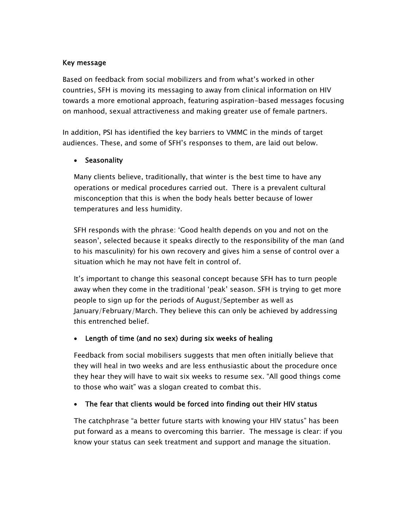#### Key message

Based on feedback from social mobilizers and from what's worked in other countries, SFH is moving its messaging to away from clinical information on HIV towards a more emotional approach, featuring aspiration-based messages focusing on manhood, sexual attractiveness and making greater use of female partners.

In addition, PSI has identified the key barriers to VMMC in the minds of target audiences. These, and some of SFH's responses to them, are laid out below.

## • Seasonality

Many clients believe, traditionally, that winter is the best time to have any operations or medical procedures carried out. There is a prevalent cultural misconception that this is when the body heals better because of lower temperatures and less humidity.

SFH responds with the phrase: 'Good health depends on you and not on the season', selected because it speaks directly to the responsibility of the man (and to his masculinity) for his own recovery and gives him a sense of control over a situation which he may not have felt in control of.

It's important to change this seasonal concept because SFH has to turn people away when they come in the traditional 'peak' season. SFH is trying to get more people to sign up for the periods of August/September as well as January/February/March. They believe this can only be achieved by addressing this entrenched belief.

## Length of time (and no sex) during six weeks of healing

Feedback from social mobilisers suggests that men often initially believe that they will heal in two weeks and are less enthusiastic about the procedure once they hear they will have to wait six weeks to resume sex. "All good things come to those who wait" was a slogan created to combat this.

## • The fear that clients would be forced into finding out their HIV status

The catchphrase "a better future starts with knowing your HIV status" has been put forward as a means to overcoming this barrier. The message is clear: if you know your status can seek treatment and support and manage the situation.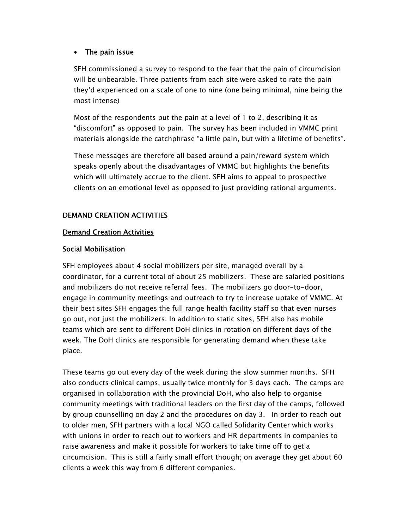#### • The pain issue

SFH commissioned a survey to respond to the fear that the pain of circumcision will be unbearable. Three patients from each site were asked to rate the pain they'd experienced on a scale of one to nine (one being minimal, nine being the most intense)

Most of the respondents put the pain at a level of 1 to 2, describing it as "discomfort" as opposed to pain. The survey has been included in VMMC print materials alongside the catchphrase "a little pain, but with a lifetime of benefits".

These messages are therefore all based around a pain/reward system which speaks openly about the disadvantages of VMMC but highlights the benefits which will ultimately accrue to the client. SFH aims to appeal to prospective clients on an emotional level as opposed to just providing rational arguments.

# DEMAND CREATION ACTIVITIES

#### Demand Creation Activities

#### Social Mobilisation

SFH employees about 4 social mobilizers per site, managed overall by a coordinator, for a current total of about 25 mobilizers. These are salaried positions and mobilizers do not receive referral fees. The mobilizers go door-to-door, engage in community meetings and outreach to try to increase uptake of VMMC. At their best sites SFH engages the full range health facility staff so that even nurses go out, not just the mobilizers. In addition to static sites, SFH also has mobile teams which are sent to different DoH clinics in rotation on different days of the week. The DoH clinics are responsible for generating demand when these take place.

These teams go out every day of the week during the slow summer months. SFH also conducts clinical camps, usually twice monthly for 3 days each. The camps are organised in collaboration with the provincial DoH, who also help to organise community meetings with traditional leaders on the first day of the camps, followed by group counselling on day 2 and the procedures on day 3. In order to reach out to older men, SFH partners with a local NGO called Solidarity Center which works with unions in order to reach out to workers and HR departments in companies to raise awareness and make it possible for workers to take time off to get a circumcision. This is still a fairly small effort though; on average they get about 60 clients a week this way from 6 different companies.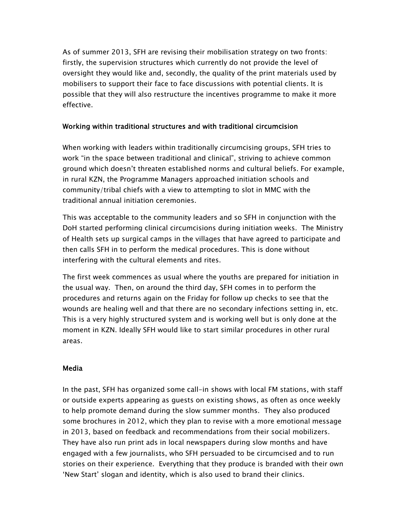As of summer 2013, SFH are revising their mobilisation strategy on two fronts: firstly, the supervision structures which currently do not provide the level of oversight they would like and, secondly, the quality of the print materials used by mobilisers to support their face to face discussions with potential clients. It is possible that they will also restructure the incentives programme to make it more effective.

#### Working within traditional structures and with traditional circumcision

When working with leaders within traditionally circumcising groups, SFH tries to work "in the space between traditional and clinical", striving to achieve common ground which doesn't threaten established norms and cultural beliefs. For example, in rural KZN, the Programme Managers approached initiation schools and community/tribal chiefs with a view to attempting to slot in MMC with the traditional annual initiation ceremonies.

This was acceptable to the community leaders and so SFH in conjunction with the DoH started performing clinical circumcisions during initiation weeks. The Ministry of Health sets up surgical camps in the villages that have agreed to participate and then calls SFH in to perform the medical procedures. This is done without interfering with the cultural elements and rites.

The first week commences as usual where the youths are prepared for initiation in the usual way. Then, on around the third day, SFH comes in to perform the procedures and returns again on the Friday for follow up checks to see that the wounds are healing well and that there are no secondary infections setting in, etc. This is a very highly structured system and is working well but is only done at the moment in KZN. Ideally SFH would like to start similar procedures in other rural areas.

#### **Media**

In the past, SFH has organized some call-in shows with local FM stations, with staff or outside experts appearing as guests on existing shows, as often as once weekly to help promote demand during the slow summer months. They also produced some brochures in 2012, which they plan to revise with a more emotional message in 2013, based on feedback and recommendations from their social mobilizers. They have also run print ads in local newspapers during slow months and have engaged with a few journalists, who SFH persuaded to be circumcised and to run stories on their experience. Everything that they produce is branded with their own 'New Start' slogan and identity, which is also used to brand their clinics.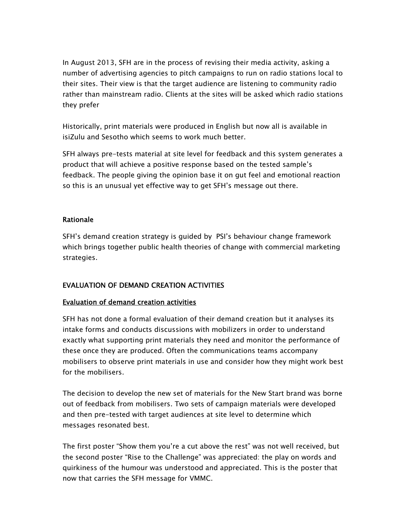In August 2013, SFH are in the process of revising their media activity, asking a number of advertising agencies to pitch campaigns to run on radio stations local to their sites. Their view is that the target audience are listening to community radio rather than mainstream radio. Clients at the sites will be asked which radio stations they prefer

Historically, print materials were produced in English but now all is available in isiZulu and Sesotho which seems to work much better.

SFH always pre-tests material at site level for feedback and this system generates a product that will achieve a positive response based on the tested sample's feedback. The people giving the opinion base it on gut feel and emotional reaction so this is an unusual yet effective way to get SFH's message out there.

#### Rationale

SFH's demand creation strategy is guided by PSI's behaviour change framework which brings together public health theories of change with commercial marketing strategies.

## EVALUATION OF DEMAND CREATION ACTIVITIES

## Evaluation of demand creation activities

SFH has not done a formal evaluation of their demand creation but it analyses its intake forms and conducts discussions with mobilizers in order to understand exactly what supporting print materials they need and monitor the performance of these once they are produced. Often the communications teams accompany mobilisers to observe print materials in use and consider how they might work best for the mobilisers.

The decision to develop the new set of materials for the New Start brand was borne out of feedback from mobilisers. Two sets of campaign materials were developed and then pre-tested with target audiences at site level to determine which messages resonated best.

The first poster "Show them you're a cut above the rest" was not well received, but the second poster "Rise to the Challenge" was appreciated: the play on words and quirkiness of the humour was understood and appreciated. This is the poster that now that carries the SFH message for VMMC.